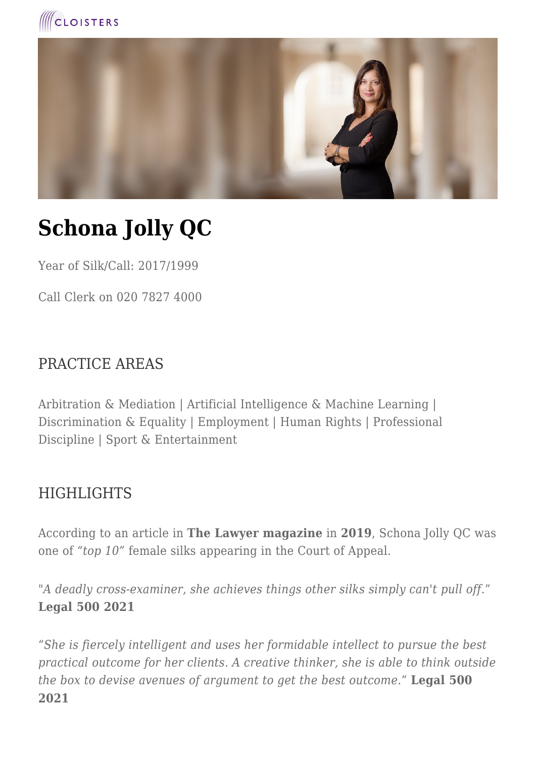



# **Schona Jolly QC**

Year of Silk/Call: 2017/1999

Call Clerk on 020 7827 4000

#### PRACTICE AREAS

Arbitration & Mediation | Artificial Intelligence & Machine Learning | Discrimination & Equality | Employment | Human Rights | Professional Discipline | Sport & Entertainment

#### **HIGHLIGHTS**

According to an article in **The Lawyer magazine** in **2019**, Schona Jolly QC was one of *"top 10"* female silks appearing in the Court of Appeal.

"*A deadly cross-examiner, she achieves things other silks simply can't pull off*." **Legal 500 2021**

"*She is fiercely intelligent and uses her formidable intellect to pursue the best practical outcome for her clients. A creative thinker, she is able to think outside the box to devise avenues of argument to get the best outcome.*" **Legal 500 2021**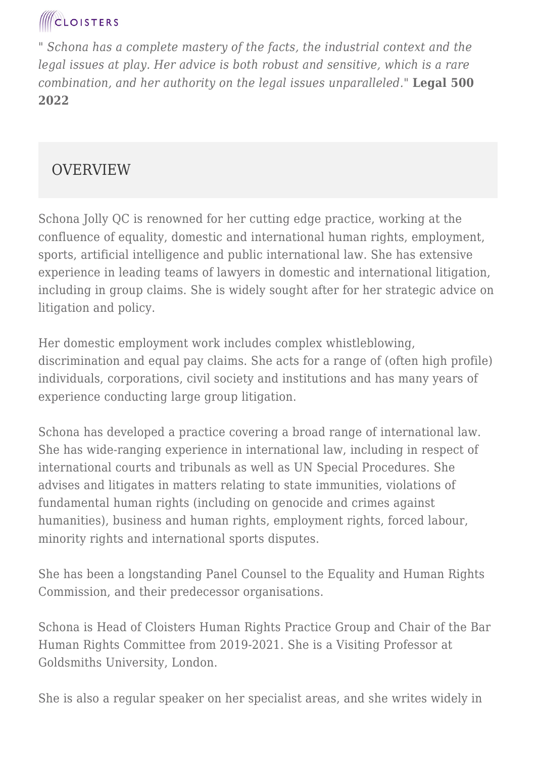# **CLOISTERS**

*" Schona has a complete mastery of the facts, the industrial context and the legal issues at play. Her advice is both robust and sensitive, which is a rare combination, and her authority on the legal issues unparalleled."* **Legal 500 2022**

#### **OVERVIEW**

Schona Jolly QC is renowned for her cutting edge practice, working at the confluence of equality, domestic and international human rights, employment, sports, artificial intelligence and public international law. She has extensive experience in leading teams of lawyers in domestic and international litigation, including in group claims. She is widely sought after for her strategic advice on litigation and policy.

Her domestic employment work includes complex whistleblowing, discrimination and equal pay claims. She acts for a range of (often high profile) individuals, corporations, civil society and institutions and has many years of experience conducting large group litigation.

Schona has developed a practice covering a broad range of international law. She has wide-ranging experience in international law, including in respect of international courts and tribunals as well as UN Special Procedures. She advises and litigates in matters relating to state immunities, violations of fundamental human rights (including on genocide and crimes against humanities), business and human rights, employment rights, forced labour, minority rights and international sports disputes.

She has been a longstanding Panel Counsel to the Equality and Human Rights Commission, and their predecessor organisations.

Schona is Head of Cloisters Human Rights Practice Group and Chair of the Bar Human Rights Committee from 2019-2021. She is a Visiting Professor at Goldsmiths University, London.

She is also a regular speaker on her specialist areas, and she writes widely in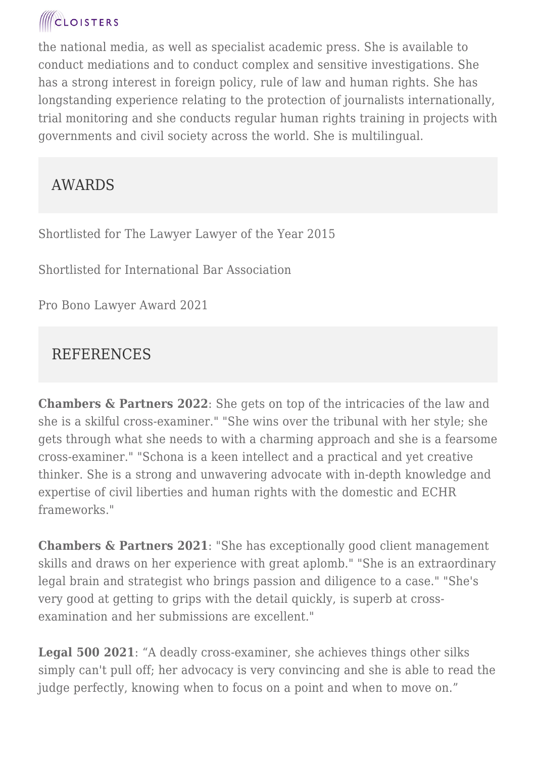# **CLOISTERS**

the national media, as well as specialist academic press. She is available to conduct mediations and to conduct complex and sensitive investigations. She has a strong interest in foreign policy, rule of law and human rights. She has longstanding experience relating to the protection of journalists internationally, trial monitoring and she conducts regular human rights training in projects with governments and civil society across the world. She is multilingual.

### AWARDS

Shortlisted for The Lawyer Lawyer of the Year 2015

Shortlisted for International Bar Association

Pro Bono Lawyer Award 2021

### REFERENCES

**Chambers & Partners 2022**: She gets on top of the intricacies of the law and she is a skilful cross-examiner." "She wins over the tribunal with her style; she gets through what she needs to with a charming approach and she is a fearsome cross-examiner." "Schona is a keen intellect and a practical and yet creative thinker. She is a strong and unwavering advocate with in-depth knowledge and expertise of civil liberties and human rights with the domestic and ECHR frameworks."

**Chambers & Partners 2021**: "She has exceptionally good client management skills and draws on her experience with great aplomb." "She is an extraordinary legal brain and strategist who brings passion and diligence to a case." "She's very good at getting to grips with the detail quickly, is superb at crossexamination and her submissions are excellent."

**Legal 500 2021**: "A deadly cross-examiner, she achieves things other silks simply can't pull off; her advocacy is very convincing and she is able to read the judge perfectly, knowing when to focus on a point and when to move on."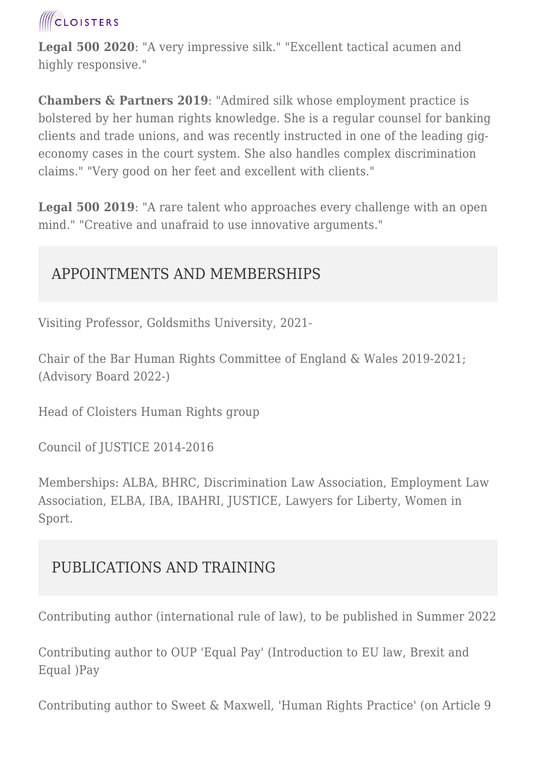

**Legal 500 2020**: "A very impressive silk." "Excellent tactical acumen and highly responsive."

**Chambers & Partners 2019**: "Admired silk whose employment practice is bolstered by her human rights knowledge. She is a regular counsel for banking clients and trade unions, and was recently instructed in one of the leading gigeconomy cases in the court system. She also handles complex discrimination claims." "Very good on her feet and excellent with clients."

**Legal 500 2019**: "A rare talent who approaches every challenge with an open mind." "Creative and unafraid to use innovative arguments."

#### APPOINTMENTS AND MEMBERSHIPS

Visiting Professor, Goldsmiths University, 2021-

Chair of the Bar Human Rights Committee of England & Wales 2019-2021; (Advisory Board 2022-)

Head of Cloisters Human Rights group

Council of JUSTICE 2014-2016

Memberships: ALBA, BHRC, Discrimination Law Association, Employment Law Association, ELBA, IBA, IBAHRI, JUSTICE, Lawyers for Liberty, Women in Sport.

#### PUBLICATIONS AND TRAINING

Contributing author (international rule of law), to be published in Summer 2022

Contributing author to OUP 'Equal Pay' (Introduction to EU law, Brexit and Equal )Pay

Contributing author to Sweet & Maxwell, 'Human Rights Practice' (on Article 9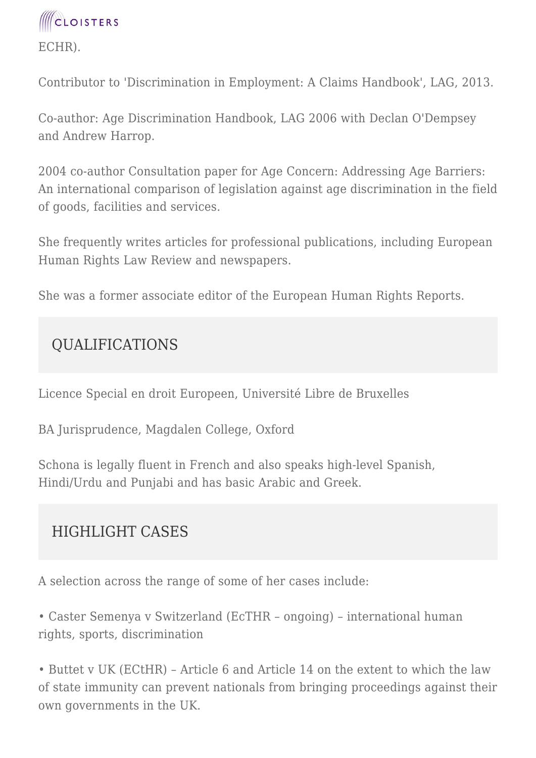

Contributor to 'Discrimination in Employment: A Claims Handbook', LAG, 2013.

Co-author: Age Discrimination Handbook, LAG 2006 with Declan O'Dempsey and Andrew Harrop.

2004 co-author Consultation paper for Age Concern: Addressing Age Barriers: An international comparison of legislation against age discrimination in the field of goods, facilities and services.

She frequently writes articles for professional publications, including European Human Rights Law Review and newspapers.

She was a former associate editor of the European Human Rights Reports.

### QUALIFICATIONS

Licence Special en droit Europeen, Université Libre de Bruxelles

BA Jurisprudence, Magdalen College, Oxford

Schona is legally fluent in French and also speaks high-level Spanish, Hindi/Urdu and Punjabi and has basic Arabic and Greek.

## HIGHLIGHT CASES

A selection across the range of some of her cases include:

• Caster Semenya v Switzerland (EcTHR – ongoing) – international human rights, sports, discrimination

• Buttet v UK (ECtHR) – Article 6 and Article 14 on the extent to which the law of state immunity can prevent nationals from bringing proceedings against their own governments in the UK.